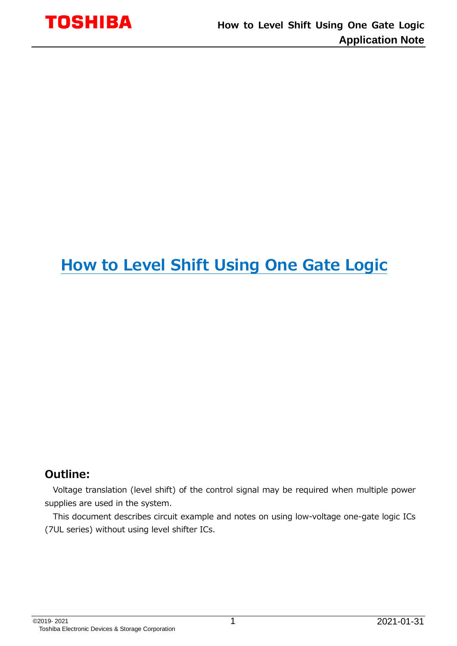

## **How to Level Shift Using One Gate Logic**

#### **Outline:**

Voltage translation (level shift) of the control signal may be required when multiple power supplies are used in the system.

This document describes circuit example and notes on using low-voltage one-gate logic ICs (7UL series) without using level shifter ICs.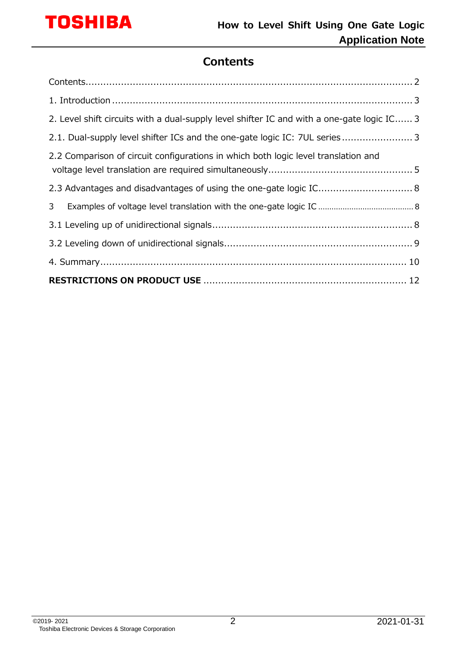

## **Contents**

<span id="page-1-0"></span>

| 3 <sup>7</sup>                                                                             |  |
|--------------------------------------------------------------------------------------------|--|
| 2.3 Advantages and disadvantages of using the one-gate logic IC 8                          |  |
| 2.2 Comparison of circuit configurations in which both logic level translation and         |  |
| 2.1. Dual-supply level shifter ICs and the one-gate logic IC: 7UL series 3                 |  |
| 2. Level shift circuits with a dual-supply level shifter IC and with a one-gate logic IC 3 |  |
|                                                                                            |  |
|                                                                                            |  |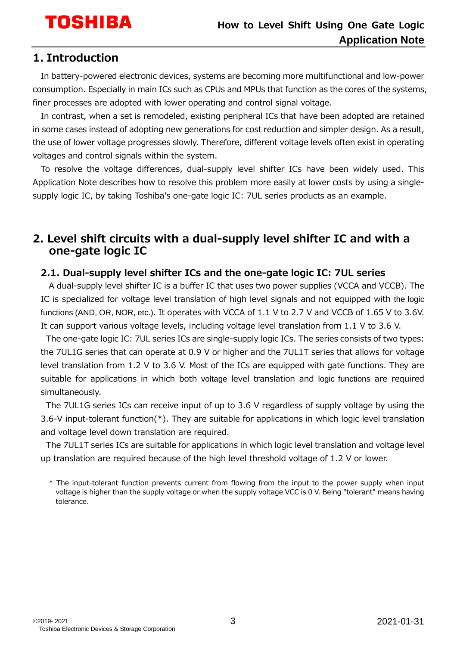## <span id="page-2-0"></span>**1. Introduction**

In battery-powered electronic devices, systems are becoming more multifunctional and low-power consumption. Especially in main ICs such as CPUs and MPUs that function as the cores of the systems, finer processes are adopted with lower operating and control signal voltage.

In contrast, when a set is remodeled, existing peripheral ICs that have been adopted are retained in some cases instead of adopting new generations for cost reduction and simpler design. As a result, the use of lower voltage progresses slowly. Therefore, different voltage levels often exist in operating voltages and control signals within the system.

To resolve the voltage differences, dual-supply level shifter ICs have been widely used. This Application Note describes how to resolve this problem more easily at lower costs by using a singlesupply logic IC, by taking Toshiba's one-gate logic IC: 7UL series products as an example.

#### <span id="page-2-1"></span>**2. Level shift circuits with a dual-supply level shifter IC and with a one-gate logic IC**

#### <span id="page-2-2"></span>**2.1. Dual-supply level shifter ICs and the one-gate logic IC: 7UL series**

A dual-supply level shifter IC is a buffer IC that uses two power supplies (VCCA and VCCB). The IC is specialized for voltage level translation of high level signals and not equipped with the logic functions (AND, OR, NOR, etc.). It operates with VCCA of 1.1 V to 2.7 V and VCCB of 1.65 V to 3.6V. It can support various voltage levels, including voltage level translation from 1.1 V to 3.6 V.

The one-gate logic IC: 7UL series ICs are single-supply logic ICs. The series consists of two types: the 7UL1G series that can operate at 0.9 V or higher and the 7UL1T series that allows for voltage level translation from 1.2 V to 3.6 V. Most of the ICs are equipped with gate functions. They are suitable for applications in which both voltage level translation and logic functions are required simultaneously.

The 7UL1G series ICs can receive input of up to 3.6 V regardless of supply voltage by using the 3.6-V input-tolerant function(\*). They are suitable for applications in which logic level translation and voltage level down translation are required.

The 7UL1T series ICs are suitable for applications in which logic level translation and voltage level up translation are required because of the high level threshold voltage of 1.2 V or lower.

<sup>\*</sup> The input-tolerant function prevents current from flowing from the input to the power supply when input voltage is higher than the supply voltage or when the supply voltage VCC is 0 V. Being "tolerant" means having tolerance.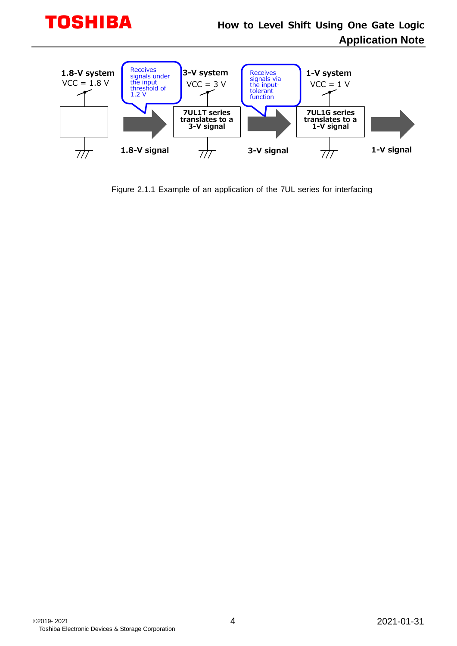

Figure 2.1.1 Example of an application of the 7UL series for interfacing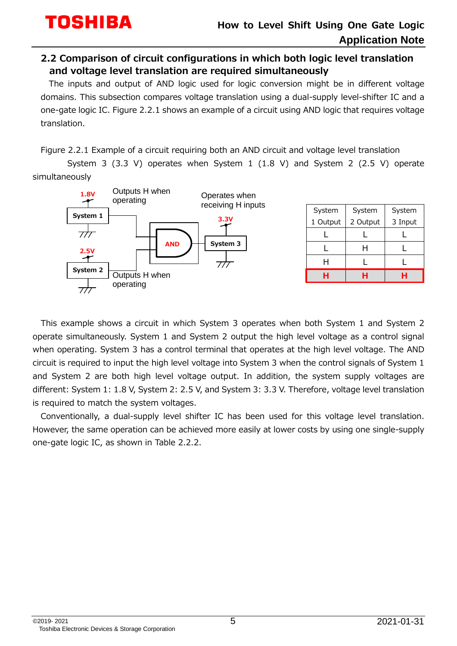#### <span id="page-4-0"></span>**2.2 Comparison of circuit configurations in which both logic level translation and voltage level translation are required simultaneously**

The inputs and output of AND logic used for logic conversion might be in different voltage domains. This subsection compares voltage translation using a dual-supply level-shifter IC and a one-gate logic IC. Figure 2.2.1 shows an example of a circuit using AND logic that requires voltage translation.

Figure 2.2.1 Example of a circuit requiring both an AND circuit and voltage level translation

 System 3 (3.3 V) operates when System 1 (1.8 V) and System 2 (2.5 V) operate simultaneously



| System   | System   | System  |  |
|----------|----------|---------|--|
| 1 Output | 2 Output | 3 Input |  |
|          |          |         |  |
|          |          |         |  |
|          |          |         |  |
|          |          |         |  |

This example shows a circuit in which System 3 operates when both System 1 and System 2 operate simultaneously. System 1 and System 2 output the high level voltage as a control signal when operating. System 3 has a control terminal that operates at the high level voltage. The AND circuit is required to input the high level voltage into System 3 when the control signals of System 1 and System 2 are both high level voltage output. In addition, the system supply voltages are different: System 1: 1.8 V, System 2: 2.5 V, and System 3: 3.3 V. Therefore, voltage level translation is required to match the system voltages.

Conventionally, a dual-supply level shifter IC has been used for this voltage level translation. However, the same operation can be achieved more easily at lower costs by using one single-supply one-gate logic IC, as shown in Table 2.2.2.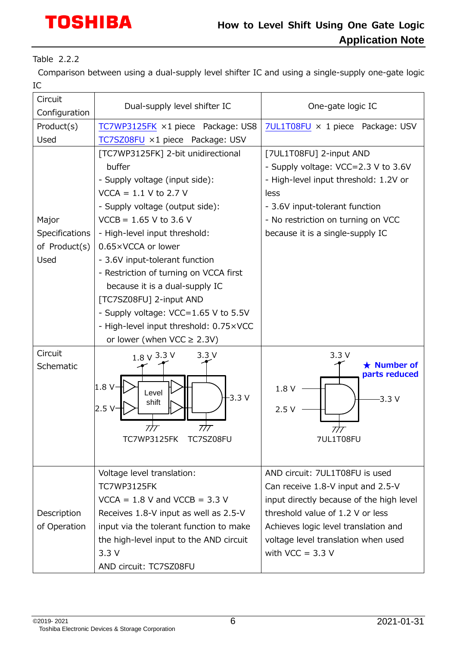# **TOSHIBA**

## **How to Level Shift Using One Gate Logic Application Note**

Table 2.2.2

Comparison between using a dual-supply level shifter IC and using a single-supply one-gate logic IC

| Circuit<br>Configuration                         | Dual-supply level shifter IC                                                                                                                                                                                                                                                                                                                                                                                                                               | One-gate logic IC                                                                                                                                                                                                                                        |  |  |
|--------------------------------------------------|------------------------------------------------------------------------------------------------------------------------------------------------------------------------------------------------------------------------------------------------------------------------------------------------------------------------------------------------------------------------------------------------------------------------------------------------------------|----------------------------------------------------------------------------------------------------------------------------------------------------------------------------------------------------------------------------------------------------------|--|--|
| Product(s)                                       | TC7WP3125FK ×1 piece Package: US8                                                                                                                                                                                                                                                                                                                                                                                                                          | 7UL1T08FU × 1 piece Package: USV                                                                                                                                                                                                                         |  |  |
| Used                                             | TC7SZ08FU ×1 piece Package: USV                                                                                                                                                                                                                                                                                                                                                                                                                            |                                                                                                                                                                                                                                                          |  |  |
| Major<br>Specifications<br>of Product(s)<br>Used | [TC7WP3125FK] 2-bit unidirectional<br>buffer<br>- Supply voltage (input side):<br>$VCCA = 1.1 V to 2.7 V$<br>- Supply voltage (output side):<br>$VCCB = 1.65 V to 3.6 V$<br>- High-level input threshold:<br>0.65×VCCA or lower<br>- 3.6V input-tolerant function<br>- Restriction of turning on VCCA first<br>because it is a dual-supply IC<br>[TC7SZ08FU] 2-input AND<br>- Supply voltage: VCC=1.65 V to 5.5V<br>- High-level input threshold: 0.75×VCC | [7UL1T08FU] 2-input AND<br>- Supply voltage: VCC=2.3 V to 3.6V<br>- High-level input threshold: 1.2V or<br>less<br>- 3.6V input-tolerant function<br>- No restriction on turning on VCC<br>because it is a single-supply IC                              |  |  |
|                                                  | or lower (when $VCC \ge 2.3V$ )                                                                                                                                                                                                                                                                                                                                                                                                                            |                                                                                                                                                                                                                                                          |  |  |
| Circuit<br>Schematic                             | $1.8 \vee 3.3 \vee$<br>3.3V<br>1.8 <sub>v</sub><br>Level<br>$-3.3V$<br>shift<br>2.5V<br>777<br>777<br>TC7WP3125FK TC7SZ08FU                                                                                                                                                                                                                                                                                                                                | 3.3V<br>$\star$ Number of<br>parts reduced<br>1.8 V<br>$-3.3V$<br>2.5V<br>777<br>7UL1T08FU                                                                                                                                                               |  |  |
| Description<br>of Operation                      | Voltage level translation:<br><b>TC7WP3125FK</b><br>$VCCA = 1.8$ V and $VCCB = 3.3$ V<br>Receives 1.8-V input as well as 2.5-V<br>input via the tolerant function to make<br>the high-level input to the AND circuit<br>3.3V<br>AND circuit: TC7SZ08FU                                                                                                                                                                                                     | AND circuit: 7UL1T08FU is used<br>Can receive 1.8-V input and 2.5-V<br>input directly because of the high level<br>threshold value of 1.2 V or less<br>Achieves logic level translation and<br>voltage level translation when used<br>with $VCC = 3.3 V$ |  |  |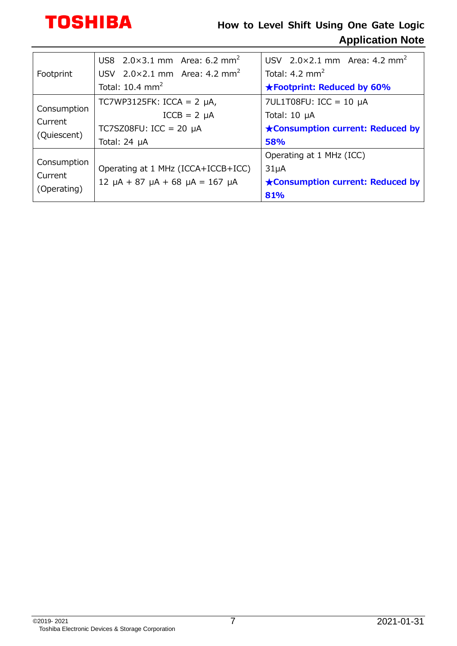

## **How to Level Shift Using One Gate Logic Application Note**

| Footprint                             | US8 $2.0 \times 3.1$ mm Area: 6.2 mm <sup>2</sup> | USV $2.0 \times 2.1$ mm Area: 4.2 mm <sup>2</sup> |  |  |
|---------------------------------------|---------------------------------------------------|---------------------------------------------------|--|--|
|                                       | USV $2.0 \times 2.1$ mm Area: 4.2 mm <sup>2</sup> | Total: $4.2 \text{ mm}^2$                         |  |  |
|                                       | Total: $10.4 \text{ mm}^2$                        | <b>★Footprint: Reduced by 60%</b>                 |  |  |
| Consumption<br>Current<br>(Quiescent) | TC7WP3125FK: ICCA = $2 \mu A$ ,                   | 7UL1T08FU: ICC = 10 $\mu$ A                       |  |  |
|                                       | $ICCB = 2 \mu A$                                  | Total: $10 \mu A$                                 |  |  |
|                                       | TC7SZ08FU: ICC = 20 $\mu$ A                       | <b>★Consumption current: Reduced by</b>           |  |  |
|                                       | Total: $24 \mu A$                                 | 58%                                               |  |  |
| Consumption<br>Current<br>(Operating) |                                                   | Operating at 1 MHz (ICC)                          |  |  |
|                                       | Operating at 1 MHz (ICCA+ICCB+ICC)                | 31 <sub>µ</sub> A                                 |  |  |
|                                       | $12 \mu A + 87 \mu A + 68 \mu A = 167 \mu A$      | ★Consumption current: Reduced by                  |  |  |
|                                       |                                                   | 81%                                               |  |  |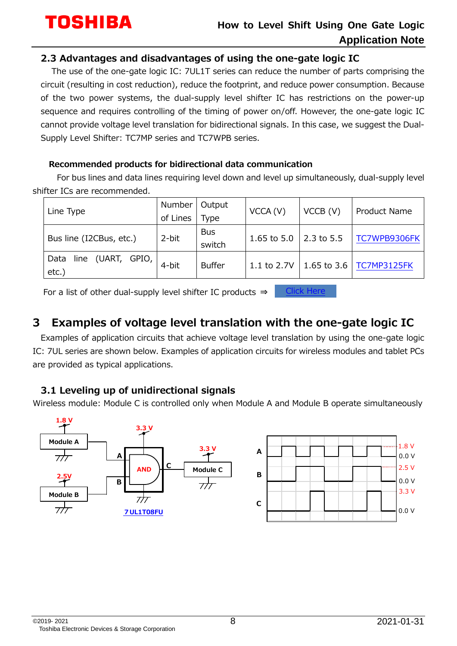<u>[Click Here](https://toshiba.semicon-storage.com/list/index.php?f%5B%5D=21%7C2%E9%9B%BB%E6%BA%90%E3%83%AC%E3%83%99%E3%83%AB%E3%82%B7%E3%83%95%E3%83%88%E3%83%90%E3%82%B9%E3%82%B9%E3%82%A4%E3%83%83%E3%83%81&p=&h=&sort=0,asc&code=param_506®ion=apc&lang=ja&cc=&scroll_x=0&scroll_y=300&utm_campaign=x34_en_x345_SRC_LMOS_LevelShift-ANE)</u>

#### <span id="page-7-0"></span>**2.3 Advantages and disadvantages of using the one-gate logic IC**

 The use of the one-gate logic IC: 7UL1T series can reduce the number of parts comprising the circuit (resulting in cost reduction), reduce the footprint, and reduce power consumption. Because of the two power systems, the dual-supply level shifter IC has restrictions on the power-up sequence and requires controlling of the timing of power on/off. However, the one-gate logic IC cannot provide voltage level translation for bidirectional signals. In this case, we suggest the Dual-Supply Level Shifter: TC7MP series and TC7WPB series.

#### **Recommended products for bidirectional data communication**

For bus lines and data lines requiring level down and level up simultaneously, dual-supply level shifter ICs are recommended.

|                                       | Number   | Output               | VCCA (V)        | VCCB (V)           | Product Name |
|---------------------------------------|----------|----------------------|-----------------|--------------------|--------------|
| Line Type                             | of Lines | Type                 |                 |                    |              |
| Bus line (I2CBus, etc.)               | 2-bit    | <b>Bus</b><br>switch | $1.65$ to $5.0$ | $\vert$ 2.3 to 5.5 | TC7WPB9306FK |
| line (UART, GPIO,<br>Data<br>$etc.$ ) | 4-bit    | <b>Buffer</b>        | 1.1 to 2.7V     | $1.65$ to $3.6$    | TC7MP3125FK  |

For a list of other dual-supply level shifter IC products ⇒

## <span id="page-7-1"></span>**3 Examples of voltage level translation with the one-gate logic IC**

Examples of application circuits that achieve voltage level translation by using the one-gate logic IC: 7UL series are shown below. Examples of application circuits for wireless modules and tablet PCs are provided as typical applications.

#### <span id="page-7-2"></span>**3.1 Leveling up of unidirectional signals**

Wireless module: Module C is controlled only when Module A and Module B operate simultaneously

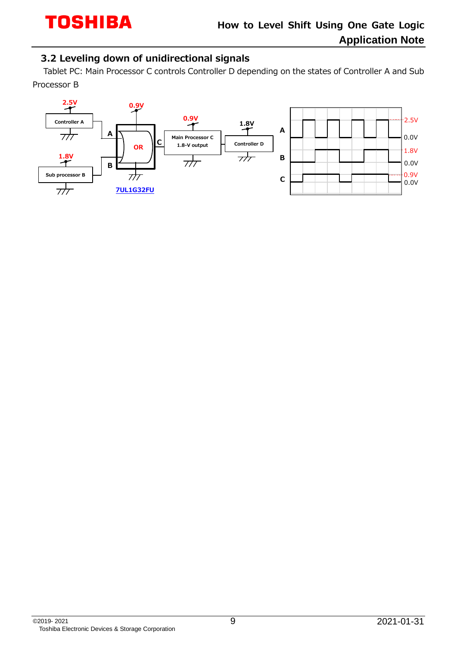#### <span id="page-8-0"></span>**3.2 Leveling down of unidirectional signals**

 Tablet PC: Main Processor C controls Controller D depending on the states of Controller A and Sub Processor B

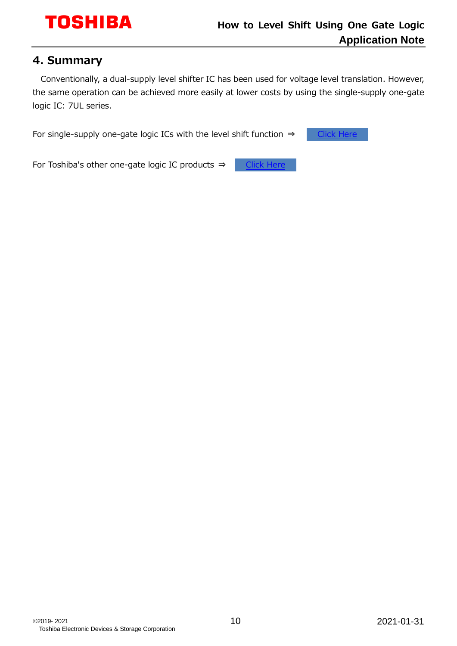#### <span id="page-9-0"></span>**4. Summary**

Conventionally, a dual-supply level shifter IC has been used for voltage level translation. However, the same operation can be achieved more easily at lower costs by using the single-supply one-gate logic IC: 7UL series.

For single-supply one-gate logic ICs with the level shift function ⇒ **Click Her** 

For Toshiba's other one-gate logic IC products ⇒ **[Click Here](https://toshiba.semicon-storage.com/list/index.php?code=param_505®ion=apc&lang=enutm_campaign=x34_en_x345_SRC_LMOS_LevelShift-ANE)**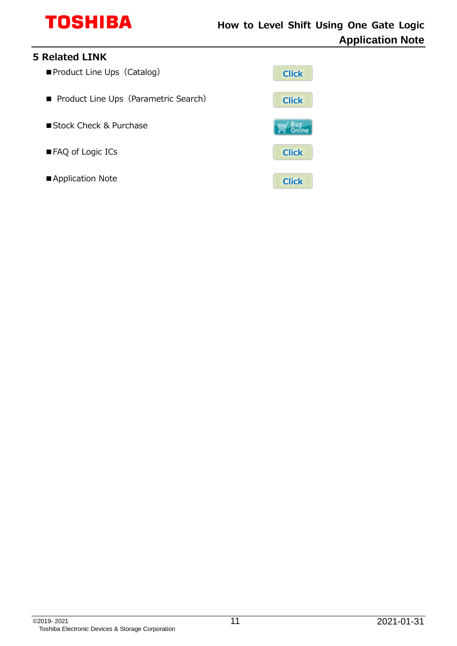

#### **5 Related LINK**

- Product Line Ups (Catalog)
- Product Line Ups (Parametric Search)
- Stock Check & Purchase
- FAQ of Logic ICs
- Application Note